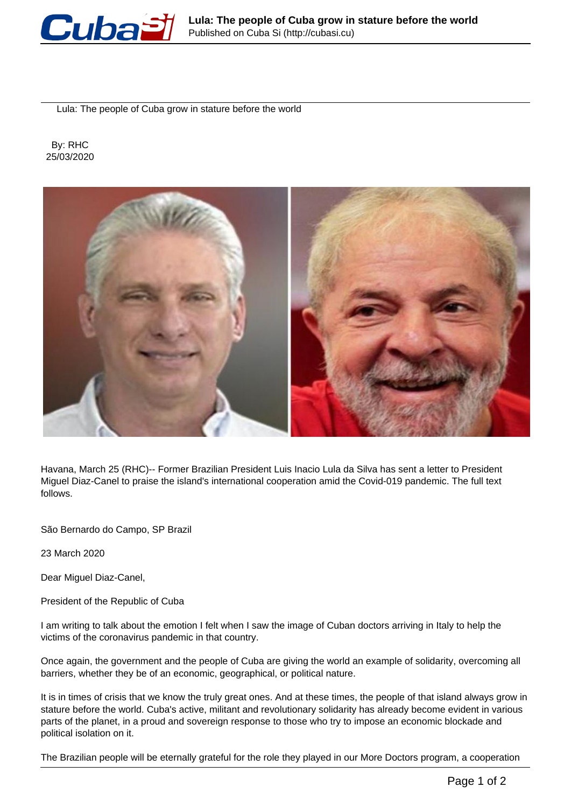

Lula: The people of Cuba grow in stature before the world

 By: RHC 25/03/2020



Havana, March 25 (RHC)-- Former Brazilian President Luis Inacio Lula da Silva has sent a letter to President Miguel Diaz-Canel to praise the island's international cooperation amid the Covid-019 pandemic. The full text follows.

São Bernardo do Campo, SP Brazil

23 March 2020

Dear Miguel Diaz-Canel,

President of the Republic of Cuba

I am writing to talk about the emotion I felt when I saw the image of Cuban doctors arriving in Italy to help the victims of the coronavirus pandemic in that country.

Once again, the government and the people of Cuba are giving the world an example of solidarity, overcoming all barriers, whether they be of an economic, geographical, or political nature.

It is in times of crisis that we know the truly great ones. And at these times, the people of that island always grow in stature before the world. Cuba's active, militant and revolutionary solidarity has already become evident in various parts of the planet, in a proud and sovereign response to those who try to impose an economic blockade and political isolation on it.

The Brazilian people will be eternally grateful for the role they played in our More Doctors program, a cooperation